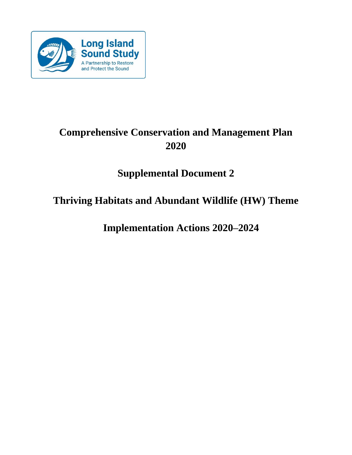

# **Comprehensive Conservation and Management Plan 2020**

# **Supplemental Document 2**

# **Thriving Habitats and Abundant Wildlife (HW) Theme**

**Implementation Actions 2020–2024**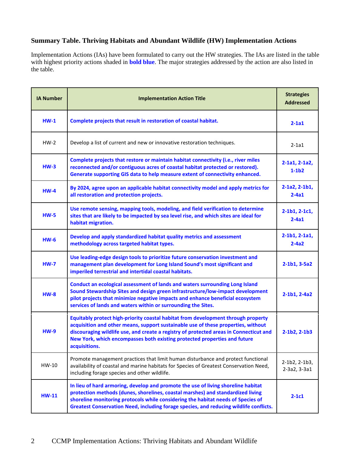# **Summary Table. Thriving Habitats and Abundant Wildlife (HW) Implementation Actions**

Implementation Actions (IAs) have been formulated to carry out the HW strategies. The IAs are listed in the table with highest priority actions shaded in **bold blue**. The major strategies addressed by the action are also listed in the table.

| <b>IA Number</b> | <b>Implementation Action Title</b>                                                                                                                                                                                                                                                                                                                             | <b>Strategies</b><br><b>Addressed</b> |
|------------------|----------------------------------------------------------------------------------------------------------------------------------------------------------------------------------------------------------------------------------------------------------------------------------------------------------------------------------------------------------------|---------------------------------------|
| $HW-1$           | Complete projects that result in restoration of coastal habitat.                                                                                                                                                                                                                                                                                               | $2-1a1$                               |
| $HW-2$           | Develop a list of current and new or innovative restoration techniques.                                                                                                                                                                                                                                                                                        | $2-1a1$                               |
| $HM-3$           | Complete projects that restore or maintain habitat connectivity (i.e., river miles<br>reconnected and/or contiguous acres of coastal habitat protected or restored).<br>Generate supporting GIS data to help measure extent of connectivity enhanced.                                                                                                          | 2-1a1, 2-1a2,<br>$1-1b2$              |
| $HM-4$           | By 2024, agree upon an applicable habitat connectivity model and apply metrics for<br>all restoration and protection projects.                                                                                                                                                                                                                                 | $2-1a2, 2-1b1,$<br>$2-4a1$            |
| $HW-5$           | Use remote sensing, mapping tools, modeling, and field verification to determine<br>sites that are likely to be impacted by sea level rise, and which sites are ideal for<br>habitat migration.                                                                                                                                                                | $2-1b1, 2-1c1,$<br>$2-4a1$            |
| $HM-6$           | Develop and apply standardized habitat quality metrics and assessment<br>methodology across targeted habitat types.                                                                                                                                                                                                                                            | $2-1b1, 2-1a1,$<br>$2 - 4a2$          |
| $HW-7$           | Use leading-edge design tools to prioritize future conservation investment and<br>management plan development for Long Island Sound's most significant and<br>imperiled terrestrial and intertidal coastal habitats.                                                                                                                                           | $2-1b1, 3-5a2$                        |
| $HM-8$           | Conduct an ecological assessment of lands and waters surrounding Long Island<br>Sound Stewardship Sites and design green infrastructure/low-impact development<br>pilot projects that minimize negative impacts and enhance beneficial ecosystem<br>services of lands and waters within or surrounding the Sites.                                              | 2-1b1, 2-4a2                          |
| $HM-9$           | Equitably protect high-priority coastal habitat from development through property<br>acquisition and other means, support sustainable use of these properties, without<br>discouraging wildlife use, and create a registry of protected areas in Connecticut and<br>New York, which encompasses both existing protected properties and future<br>acquisitions. | $2 - 1b2, 2 - 1b3$                    |
| HW-10            | Promote management practices that limit human disturbance and protect functional<br>availability of coastal and marine habitats for Species of Greatest Conservation Need,<br>including forage species and other wildlife.                                                                                                                                     | 2-1b2, 2-1b3,<br>2-3a2, 3-3a1         |
| <b>HW-11</b>     | In lieu of hard armoring, develop and promote the use of living shoreline habitat<br>protection methods (dunes, shorelines, coastal marshes) and standardized living<br>shoreline monitoring protocols while considering the habitat needs of Species of<br>Greatest Conservation Need, including forage species, and reducing wildlife conflicts.             | $2-1c1$                               |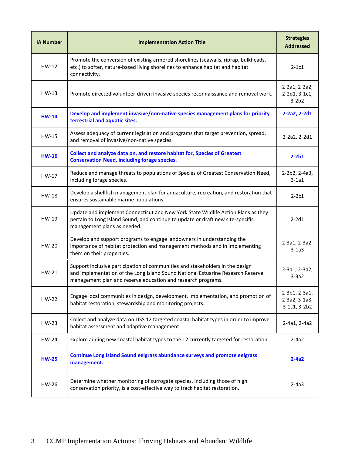| <b>IA Number</b> | <b>Implementation Action Title</b>                                                                                                                                                                                               | <b>Strategies</b><br><b>Addressed</b>          |
|------------------|----------------------------------------------------------------------------------------------------------------------------------------------------------------------------------------------------------------------------------|------------------------------------------------|
| $HW-12$          | Promote the conversion of existing armored shorelines (seawalls, riprap, bulkheads,<br>etc.) to softer, nature-based living shorelines to enhance habitat and habitat<br>connectivity.                                           | $2-1c1$                                        |
| $HW-13$          | Promote directed volunteer-driven invasive species reconnaissance and removal work.                                                                                                                                              | 2-2a1, 2-2a2,<br>$2-2d1, 3-1c1,$<br>$3-2b2$    |
| $HW-14$          | Develop and implement invasive/non-native species management plans for priority<br>terrestrial and aquatic sites.                                                                                                                | $2-2a2, 2-2d1$                                 |
| $HW-15$          | Assess adequacy of current legislation and programs that target prevention, spread,<br>and removal of invasive/non-native species.                                                                                               | 2-2a2, 2-2d1                                   |
| $HW-16$          | Collect and analyze data on, and restore habitat for, Species of Greatest<br><b>Conservation Need, including forage species.</b>                                                                                                 | $2-2b1$                                        |
| $HW-17$          | Reduce and manage threats to populations of Species of Greatest Conservation Need,<br>including forage species.                                                                                                                  | 2-2b2, 2-4a3,<br>$3-1a1$                       |
| HW-18            | Develop a shellfish management plan for aquaculture, recreation, and restoration that<br>ensures sustainable marine populations.                                                                                                 | $2-2c1$                                        |
| HW-19            | Update and implement Connecticut and New York State Wildlife Action Plans as they<br>pertain to Long Island Sound, and continue to update or draft new site-specific<br>management plans as needed.                              | $2-2d1$                                        |
| $HW-20$          | Develop and support programs to engage landowners in understanding the<br>importance of habitat protection and management methods and in implementing<br>them on their properties.                                               | 2-3a1, 2-3a2,<br>$3-1a3$                       |
| $HW-21$          | Support inclusive participation of communities and stakeholders in the design<br>and implementation of the Long Island Sound National Estuarine Research Reserve<br>management plan and reserve education and research programs. | 2-3a1, 2-3a2,<br>$3-3a2$                       |
| HW-22            | Engage local communities in design, development, implementation, and promotion of<br>habitat restoration, stewardship and monitoring projects.                                                                                   | 2-3b1, 2-3a1,<br>2-3a2, 3-1a3,<br>3-1c1, 3-2b2 |
| HW-23            | Collect and analyze data on LISS 12 targeted coastal habitat types in order to improve<br>habitat assessment and adaptive management.                                                                                            | 2-4a1, 2-4a2                                   |
| HW-24            | Explore adding new coastal habitat types to the 12 currently targeted for restoration.                                                                                                                                           | $2-4a2$                                        |
| <b>HW-25</b>     | Continue Long Island Sound eelgrass abundance surveys and promote eelgrass<br>management.                                                                                                                                        | $2-4a2$                                        |
| HW-26            | Determine whether monitoring of surrogate species, including those of high<br>conservation priority, is a cost-effective way to track habitat restoration.                                                                       | $2-4a3$                                        |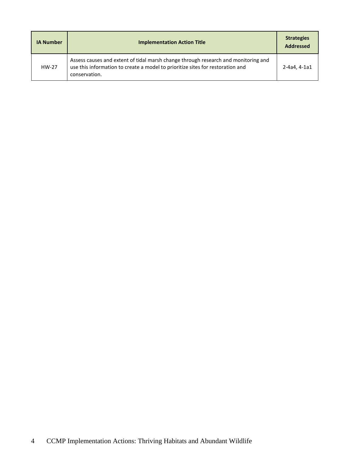| <b>IA Number</b> | <b>Implementation Action Title</b>                                                                                                                                                    | <b>Strategies</b><br><b>Addressed</b> |
|------------------|---------------------------------------------------------------------------------------------------------------------------------------------------------------------------------------|---------------------------------------|
| HW-27            | Assess causes and extent of tidal marsh change through research and monitoring and<br>use this information to create a model to prioritize sites for restoration and<br>conservation. | 2-4a4.4-1a1                           |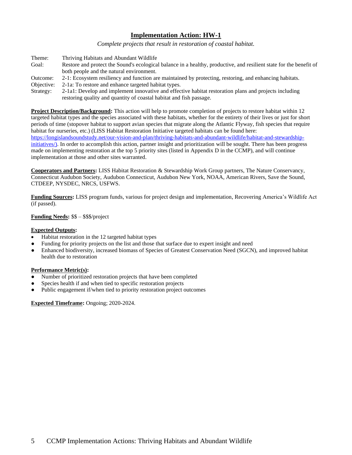*Complete projects that result in restoration of coastal habitat.*

- Theme: Thriving Habitats and Abundant Wildlife
- Goal: Restore and protect the Sound's ecological balance in a healthy, productive, and resilient state for the benefit of both people and the natural environment.
- Outcome: 2-1: Ecosystem resiliency and function are maintained by protecting, restoring, and enhancing habitats.
- Objective: 2-1a: To restore and enhance targeted habitat types.
- Strategy: 2-1a1: Develop and implement innovative and effective habitat restoration plans and projects including restoring quality and quantity of coastal habitat and fish passage.

**Project Description/Background:** This action will help to promote completion of projects to restore habitat within 12 targeted habitat types and the species associated with these habitats, whether for the entirety of their lives or just for short periods of time (stopover habitat to support avian species that migrate along the Atlantic Flyway, fish species that require habitat for nurseries, etc.) (LISS Habitat Restoration Initiative targeted habitats can be found here: https://longislandsoundstudy.net/our-vision-and-plan/thriving-habitats-and-abundant-wildlife/habitat-and-stewardshipinitiatives/). In order to accomplish this action, partner insight and prioritization will be sought. There has been progress made on implementing restoration at the top 5 priority sites (listed in Appendix D in the CCMP), and will continue implementation at those and other sites warranted.

**Cooperators and Partners:** LISS Habitat Restoration & Stewardship Work Group partners, The Nature Conservancy, Connecticut Audubon Society, Audubon Connecticut, Audubon New York, NOAA, American Rivers, Save the Sound, CTDEEP, NYSDEC, NRCS, USFWS.

**Funding Sources:** LISS program funds, various for project design and implementation, Recovering America's Wildlife Act (if passed).

# **Funding Needs:** \$\$ – \$\$\$/project

# **Expected Outputs:**

- Habitat restoration in the 12 targeted habitat types
- Funding for priority projects on the list and those that surface due to expert insight and need
- Enhanced biodiversity, increased biomass of Species of Greatest Conservation Need (SGCN), and improved habitat health due to restoration

# **Performance Metric(s):**

- Number of prioritized restoration projects that have been completed
- Species health if and when tied to specific restoration projects
- Public engagement if/when tied to priority restoration project outcomes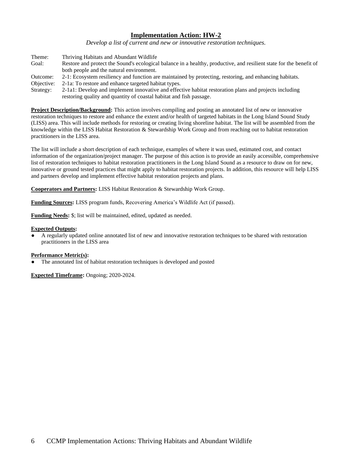*Develop a list of current and new or innovative restoration techniques.*

- Theme: Thriving Habitats and Abundant Wildlife
- Goal: Restore and protect the Sound's ecological balance in a healthy, productive, and resilient state for the benefit of both people and the natural environment.
- Outcome: 2-1: Ecosystem resiliency and function are maintained by protecting, restoring, and enhancing habitats.
- Objective: 2-1a: To restore and enhance targeted habitat types.
- Strategy: 2-1a1: Develop and implement innovative and effective habitat restoration plans and projects including restoring quality and quantity of coastal habitat and fish passage.

**Project Description/Background:** This action involves compiling and posting an annotated list of new or innovative restoration techniques to restore and enhance the extent and/or health of targeted habitats in the Long Island Sound Study (LISS) area. This will include methods for restoring or creating living shoreline habitat. The list will be assembled from the knowledge within the LISS Habitat Restoration & Stewardship Work Group and from reaching out to habitat restoration practitioners in the LISS area.

The list will include a short description of each technique, examples of where it was used, estimated cost, and contact information of the organization/project manager. The purpose of this action is to provide an easily accessible, comprehensive list of restoration techniques to habitat restoration practitioners in the Long Island Sound as a resource to draw on for new, innovative or ground tested practices that might apply to habitat restoration projects. In addition, this resource will help LISS and partners develop and implement effective habitat restoration projects and plans.

# **Cooperators and Partners:** LISS Habitat Restoration & Stewardship Work Group.

**Funding Sources:** LISS program funds, Recovering America's Wildlife Act (if passed).

**Funding Needs:** \$; list will be maintained, edited, updated as needed.

#### **Expected Outputs:**

A regularly updated online annotated list of new and innovative restoration techniques to be shared with restoration practitioners in the LISS area

#### **Performance Metric(s):**

The annotated list of habitat restoration techniques is developed and posted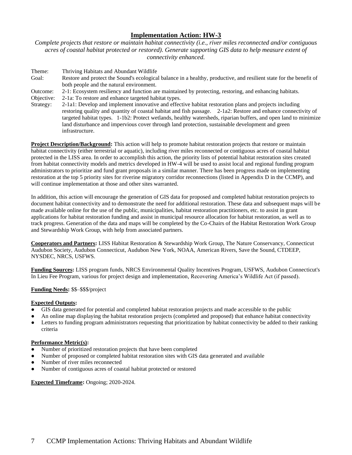*Complete projects that restore or maintain habitat connectivity (i.e., river miles reconnected and/or contiguous acres of coastal habitat protected or restored). Generate supporting GIS data to help measure extent of connectivity enhanced.*

Theme: Thriving Habitats and Abundant Wildlife Goal: Restore and protect the Sound's ecological balance in a healthy, productive, and resilient state for the benefit of both people and the natural environment. Outcome: 2-1: Ecosystem resiliency and function are maintained by protecting, restoring, and enhancing habitats. Objective: 2-1a: To restore and enhance targeted habitat types. Strategy: 2-1a1: Develop and implement innovative and effective habitat restoration plans and projects including restoring quality and quantity of coastal habitat and fish passage. 2-1a2: Restore and enhance connectivity of targeted habitat types. 1-1b2: Protect wetlands, healthy watersheds, riparian buffers, and open land to minimize

land disturbance and impervious cover through land protection, sustainable development and green

infrastructure. **Project Description/Background:** This action will help to promote habitat restoration projects that restore or maintain habitat connectivity (either terrestrial or aquatic), including river miles reconnected or contiguous acres of coastal habitat protected in the LISS area. In order to accomplish this action, the priority lists of potential habitat restoration sites created from habitat connectivity models and metrics developed in HW-4 will be used to assist local and regional funding program administrators to prioritize and fund grant proposals in a similar manner. There has been progress made on implementing restoration at the top 5 priority sites for riverine migratory corridor reconnections (listed in Appendix D in the CCMP), and

In addition, this action will encourage the generation of GIS data for proposed and completed habitat restoration projects to document habitat connectivity and to demonstrate the need for additional restoration. These data and subsequent maps will be made available online for the use of the public, municipalities, habitat restoration practitioners, etc. to assist in grant applications for habitat restoration funding and assist in municipal resource allocation for habitat restoration, as well as to track progress. Generation of the data and maps will be completed by the Co-Chairs of the Habitat Restoration Work Group and Stewardship Work Group, with help from associated partners.

**Cooperators and Partners:** LISS Habitat Restoration & Stewardship Work Group, The Nature Conservancy, Connecticut Audubon Society, Audubon Connecticut, Audubon New York, NOAA, American Rivers, Save the Sound, CTDEEP, NYSDEC, NRCS, USFWS.

**Funding Sources:** LISS program funds, NRCS Environmental Quality Incentives Program, USFWS, Audubon Connecticut's In Lieu Fee Program, various for project design and implementation, Recovering America's Wildlife Act (if passed).

# **Funding Needs:** \$\$–\$\$\$/project

#### **Expected Outputs:**

- GIS data generated for potential and completed habitat restoration projects and made accessible to the public
- An online map displaying the habitat restoration projects (completed and proposed) that enhance habitat connectivity
- Letters to funding program administrators requesting that prioritization by habitat connectivity be added to their ranking criteria

#### **Performance Metric(s):**

● Number of prioritized restoration projects that have been completed

will continue implementation at those and other sites warranted.

- Number of proposed or completed habitat restoration sites with GIS data generated and available
- Number of river miles reconnected
- Number of contiguous acres of coastal habitat protected or restored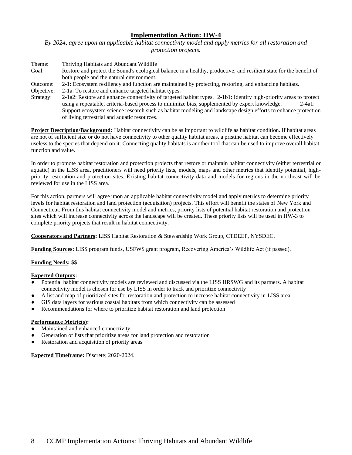*By 2024, agree upon an applicable habitat connectivity model and apply metrics for all restoration and protection projects.* 

| Theme:     | Thriving Habitats and Abundant Wildlife                                                                             |
|------------|---------------------------------------------------------------------------------------------------------------------|
| Goal:      | Restore and protect the Sound's ecological balance in a healthy, productive, and resilient state for the benefit of |
|            | both people and the natural environment.                                                                            |
| Outcome:   | 2-1: Ecosystem resiliency and function are maintained by protecting, restoring, and enhancing habitats.             |
| Objective: | 2-1a: To restore and enhance targeted habitat types.                                                                |
| Strategy:  | 2-1a2: Restore and enhance connectivity of targeted habitat types. 2-1b1: Identify high-priority areas to protect   |
|            |                                                                                                                     |

using a repeatable, criteria-based process to minimize bias, supplemented by expert knowledge. 2-4a1: Support ecosystem science research such as habitat modeling and landscape design efforts to enhance protection of living terrestrial and aquatic resources.

**Project Description/Background:** Habitat connectivity can be as important to wildlife as habitat condition. If habitat areas are not of sufficient size or do not have connectivity to other quality habitat areas, a pristine habitat can become effectively useless to the species that depend on it. Connecting quality habitats is another tool that can be used to improve overall habitat function and value.

In order to promote habitat restoration and protection projects that restore or maintain habitat connectivity (either terrestrial or aquatic) in the LISS area, practitioners will need priority lists, models, maps and other metrics that identify potential, highpriority restoration and protection sites. Existing habitat connectivity data and models for regions in the northeast will be reviewed for use in the LISS area.

For this action, partners will agree upon an applicable habitat connectivity model and apply metrics to determine priority levels for habitat restoration and land protection (acquisition) projects. This effort will benefit the states of New York and Connecticut. From this habitat connectivity model and metrics, priority lists of potential habitat restoration and protection sites which will increase connectivity across the landscape will be created. These priority lists will be used in HW-3 to complete priority projects that result in habitat connectivity.

**Cooperators and Partners:** LISS Habitat Restoration & Stewardship Work Group, CTDEEP, NYSDEC.

**Funding Sources:** LISS program funds, USFWS grant program, Recovering America's Wildlife Act (if passed).

# **Funding Needs:** \$\$

#### **Expected Outputs:**

- Potential habitat connectivity models are reviewed and discussed via the LISS HRSWG and its partners. A habitat connectivity model is chosen for use by LISS in order to track and prioritize connectivity.
- A list and map of prioritized sites for restoration and protection to increase habitat connectivity in LISS area
- GIS data layers for various coastal habitats from which connectivity can be assessed
- Recommendations for where to prioritize habitat restoration and land protection

# **Performance Metric(s):**

- Maintained and enhanced connectivity
- Generation of lists that prioritize areas for land protection and restoration
- Restoration and acquisition of priority areas

**Expected Timeframe:** Discrete; 2020-2024.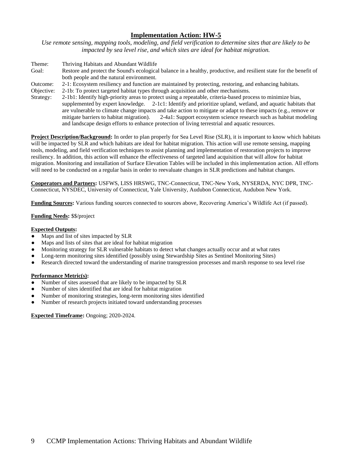*Use remote sensing, mapping tools, modeling, and field verification to determine sites that are likely to be impacted by sea level rise, and which sites are ideal for habitat migration.* 

- Theme: Thriving Habitats and Abundant Wildlife Goal: Restore and protect the Sound's ecological balance in a healthy, productive, and resilient state for the benefit of both people and the natural environment. Outcome: 2-1: Ecosystem resiliency and function are maintained by protecting, restoring, and enhancing habitats.
- Objective: 2-1b: To protect targeted habitat types through acquisition and other mechanisms. Strategy: 2-1b1: Identify high-priority areas to protect using a repeatable, criteria-based process to minimize bias, supplemented by expert knowledge. 2-1c1: Identify and prioritize upland, wetland, and aquatic habitats that are vulnerable to climate change impacts and take action to mitigate or adapt to these impacts (e.g., remove or mitigate barriers to habitat migration). 2-4a1: Support ecosystem science research such as habitat modeling and landscape design efforts to enhance protection of living terrestrial and aquatic resources.

**Project Description/Background:** In order to plan properly for Sea Level Rise (SLR), it is important to know which habitats will be impacted by SLR and which habitats are ideal for habitat migration. This action will use remote sensing, mapping tools, modeling, and field verification techniques to assist planning and implementation of restoration projects to improve resiliency. In addition, this action will enhance the effectiveness of targeted land acquisition that will allow for habitat migration. Monitoring and installation of Surface Elevation Tables will be included in this implementation action. All efforts will need to be conducted on a regular basis in order to reevaluate changes in SLR predictions and habitat changes.

**Cooperators and Partners:** USFWS, LISS HRSWG, TNC-Connecticut, TNC-New York, NYSERDA, NYC DPR, TNC-Connecticut, NYSDEC, University of Connecticut, Yale University, Audubon Connecticut, Audubon New York.

**Funding Sources:** Various funding sources connected to sources above, Recovering America's Wildlife Act (if passed).

# **Funding Needs:** \$\$/project

## **Expected Outputs:**

- Maps and list of sites impacted by SLR
- Maps and lists of sites that are ideal for habitat migration
- Monitoring strategy for SLR vulnerable habitats to detect what changes actually occur and at what rates
- Long-term monitoring sites identified (possibly using Stewardship Sites as Sentinel Monitoring Sites)
- Research directed toward the understanding of marine transgression processes and marsh response to sea level rise

#### **Performance Metric(s):**

- Number of sites assessed that are likely to be impacted by SLR
- Number of sites identified that are ideal for habitat migration
- Number of monitoring strategies, long-term monitoring sites identified
- Number of research projects initiated toward understanding processes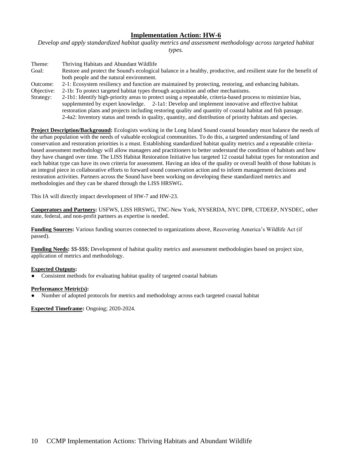*Develop and apply standardized habitat quality metrics and assessment methodology across targeted habitat types.*

| Theme:     | Thriving Habitats and Abundant Wildlife                                                                                                                                                                                                                                                                                                                       |
|------------|---------------------------------------------------------------------------------------------------------------------------------------------------------------------------------------------------------------------------------------------------------------------------------------------------------------------------------------------------------------|
| Goal:      | Restore and protect the Sound's ecological balance in a healthy, productive, and resilient state for the benefit of                                                                                                                                                                                                                                           |
|            | both people and the natural environment.                                                                                                                                                                                                                                                                                                                      |
| Outcome:   | 2-1: Ecosystem resiliency and function are maintained by protecting, restoring, and enhancing habitats.                                                                                                                                                                                                                                                       |
| Objective: | 2-1b: To protect targeted habitat types through acquisition and other mechanisms.                                                                                                                                                                                                                                                                             |
| Strategy:  | 2-1b1: Identify high-priority areas to protect using a repeatable, criteria-based process to minimize bias,                                                                                                                                                                                                                                                   |
|            | supplemented by expert knowledge. 2-1a1: Develop and implement innovative and effective habitat                                                                                                                                                                                                                                                               |
|            | $\mathcal{L} = \{1, \ldots, 1, \ldots, 1, \ldots, 1, \ldots, 1, \ldots, 1, \ldots, 1, \ldots, 1, \ldots, 1, \ldots, 1, \ldots, 1, \ldots, 1, \ldots, 1, \ldots, 1, \ldots, 1, \ldots, 1, \ldots, 1, \ldots, 1, \ldots, 1, \ldots, 1, \ldots, 1, \ldots, 1, \ldots, 1, \ldots, 1, \ldots, 1, \ldots, 1, \ldots, 1, \ldots, 1, \ldots, 1, \ldots, 1, \ldots, 1$ |

restoration plans and projects including restoring quality and quantity of coastal habitat and fish passage. 2-4a2: Inventory status and trends in quality, quantity, and distribution of priority habitats and species.

**Project Description/Background:** Ecologists working in the Long Island Sound coastal boundary must balance the needs of the urban population with the needs of valuable ecological communities. To do this, a targeted understanding of land conservation and restoration priorities is a must. Establishing standardized habitat quality metrics and a repeatable criteriabased assessment methodology will allow managers and practitioners to better understand the condition of habitats and how they have changed over time. The LISS Habitat Restoration Initiative has targeted 12 coastal habitat types for restoration and each habitat type can have its own criteria for assessment. Having an idea of the quality or overall health of those habitats is an integral piece in collaborative efforts to forward sound conservation action and to inform management decisions and restoration activities. Partners across the Sound have been working on developing these standardized metrics and methodologies and they can be shared through the LISS HRSWG.

This IA will directly impact development of HW-7 and HW-23.

**Cooperators and Partners:** USFWS, LISS HRSWG, TNC-New York, NYSERDA, NYC DPR, CTDEEP, NYSDEC, other state, federal, and non-profit partners as expertise is needed.

**Funding Sources:** Various funding sources connected to organizations above, Recovering America's Wildlife Act (if passed).

**Funding Needs:** \$\$-\$\$\$; Development of habitat quality metrics and assessment methodologies based on project size, application of metrics and methodology.

# **Expected Outputs:**

Consistent methods for evaluating habitat quality of targeted coastal habitats

# **Performance Metric(s):**

Number of adopted protocols for metrics and methodology across each targeted coastal habitat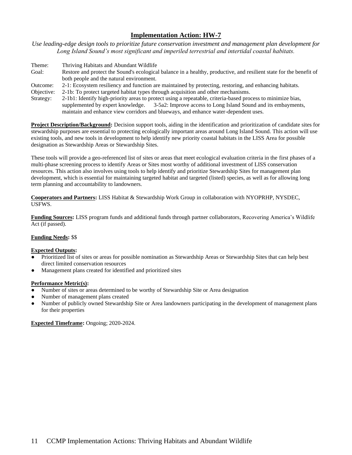*Use leading-edge design tools to prioritize future conservation investment and management plan development for Long Island Sound's most significant and imperiled terrestrial and intertidal coastal habitats.*

| Theme:     | Thriving Habitats and Abundant Wildlife                                                                             |
|------------|---------------------------------------------------------------------------------------------------------------------|
| Goal:      | Restore and protect the Sound's ecological balance in a healthy, productive, and resilient state for the benefit of |
|            | both people and the natural environment.                                                                            |
| Outcome:   | 2-1: Ecosystem resiliency and function are maintained by protecting, restoring, and enhancing habitats.             |
| Objective: | 2-1b: To protect targeted habitat types through acquisition and other mechanisms.                                   |
| Strategy:  | 2-1b1: Identify high-priority areas to protect using a repeatable, criteria-based process to minimize bias,         |

supplemented by expert knowledge. 3-5a2: Improve access to Long Island Sound and its embayments, maintain and enhance view corridors and blueways, and enhance water-dependent uses.

**Project Description/Background:** Decision support tools, aiding in the identification and prioritization of candidate sites for stewardship purposes are essential to protecting ecologically important areas around Long Island Sound. This action will use existing tools, and new tools in development to help identify new priority coastal habitats in the LISS Area for possible designation as Stewardship Areas or Stewardship Sites.

These tools will provide a geo-referenced list of sites or areas that meet ecological evaluation criteria in the first phases of a multi-phase screening process to identify Areas or Sites most worthy of additional investment of LISS conservation resources. This action also involves using tools to help identify and prioritize Stewardship Sites for management plan development, which is essential for maintaining targeted habitat and targeted (listed) species, as well as for allowing long term planning and accountability to landowners.

**Cooperators and Partners:** LISS Habitat & Stewardship Work Group in collaboration with NYOPRHP, NYSDEC, USFWS.

**Funding Sources:** LISS program funds and additional funds through partner collaborators, Recovering America's Wildlife Act (if passed).

# **Funding Needs:** \$\$

#### **Expected Outputs:**

- Prioritized list of sites or areas for possible nomination as Stewardship Areas or Stewardship Sites that can help best direct limited conservation resources
- Management plans created for identified and prioritized sites

#### **Performance Metric(s):**

- Number of sites or areas determined to be worthy of Stewardship Site or Area designation
- Number of management plans created
- Number of publicly owned Stewardship Site or Area landowners participating in the development of management plans for their properties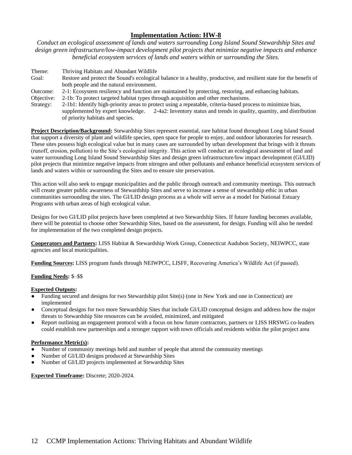*Conduct an ecological assessment of lands and waters surrounding Long Island Sound Stewardship Sites and design green infrastructure/low-impact development pilot projects that minimize negative impacts and enhance beneficial ecosystem services of lands and waters within or surrounding the Sites.*

Theme: Thriving Habitats and Abundant Wildlife Goal: Restore and protect the Sound's ecological balance in a healthy, productive, and resilient state for the benefit of both people and the natural environment. Outcome: 2-1: Ecosystem resiliency and function are maintained by protecting, restoring, and enhancing habitats. Objective: 2-1b: To protect targeted habitat types through acquisition and other mechanisms. Strategy: 2-1b1: Identify high-priority areas to protect using a repeatable, criteria-based process to minimize bias, supplemented by expert knowledge. 2-4a2: Inventory status and trends in quality, quantity, and distribution of priority habitats and species.

**Project Description/Background:** Stewardship Sites represent essential, rare habitat found throughout Long Island Sound that support a diversity of plant and wildlife species, open space for people to enjoy, and outdoor laboratories for research. These sites possess high ecological value but in many cases are surrounded by urban development that brings with it threats (runoff, erosion, pollution) to the Site's ecological integrity. This action will conduct an ecological assessment of land and water surrounding Long Island Sound Stewardship Sites and design green infrastructure/low impact development (GI/LID) pilot projects that minimize negative impacts from nitrogen and other pollutants and enhance beneficial ecosystem services of lands and waters within or surrounding the Sites and to ensure site preservation.

This action will also seek to engage municipalities and the public through outreach and community meetings. This outreach will create greater public awareness of Stewardship Sites and serve to increase a sense of stewardship ethic in urban communities surrounding the sites. The GI/LID design process as a whole will serve as a model for National Estuary Programs with urban areas of high ecological value.

Designs for two GI/LID pilot projects have been completed at two Stewardship Sites. If future funding becomes available, there will be potential to choose other Stewardship Sites, based on the assessment, for design. Funding will also be needed for implementation of the two completed design projects.

**Cooperators and Partners:** LISS Habitat & Stewardship Work Group, Connecticut Audubon Society, NEIWPCC, state agencies and local municipalities.

**Funding Sources:** LISS program funds through NEIWPCC, LISFF, Recovering America's Wildlife Act (if passed).

# **Funding Needs:** \$–\$\$

# **Expected Outputs:**

- Funding secured and designs for two Stewardship pilot Site(s) (one in New York and one in Connecticut) are implemented
- Conceptual designs for two more Stewardship Sites that include GI/LID conceptual designs and address how the major threats to Stewardship Site resources can be avoided, minimized, and mitigated
- Report outlining an engagement protocol with a focus on how future contractors, partners or LISS HRSWG co-leaders could establish new partnerships and a stronger rapport with town officials and residents within the pilot project area

#### **Performance Metric(s):**

- Number of community meetings held and number of people that attend the community meetings
- Number of GI/LID designs produced at Stewardship Sites
- Number of GI/LID projects implemented at Stewardship Sites

**Expected Timeframe:** Discrete; 2020-2024.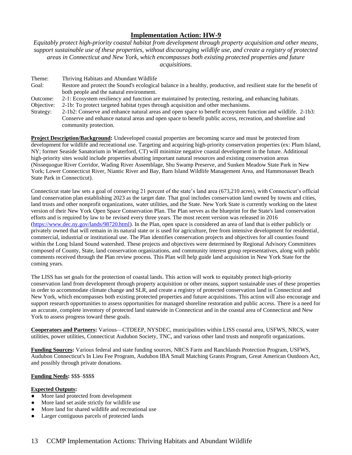*Equitably protect high-priority coastal habitat from development through property acquisition and other means, support sustainable use of these properties, without discouraging wildlife use, and create a registry of protected areas in Connecticut and New York, which encompasses both existing protected properties and future acquisitions.*

Theme: Thriving Habitats and Abundant Wildlife Goal: Restore and protect the Sound's ecological balance in a healthy, productive, and resilient state for the benefit of both people and the natural environment. Outcome: 2-1: Ecosystem resiliency and function are maintained by protecting, restoring, and enhancing habitats. Objective: 2-1b: To protect targeted habitat types through acquisition and other mechanisms. Strategy: 2-1b2: Conserve and enhance natural areas and open space to benefit ecosystem function and wildlife. 2-1b3: Conserve and enhance natural areas and open space to benefit public access, recreation, and shoreline and community protection.

**Project Description/Background:** Undeveloped coastal properties are becoming scarce and must be protected from development for wildlife and recreational use. Targeting and acquiring high-priority conservation properties (ex: Plum Island, NY; former Seaside Sanatorium in Waterford, CT) will minimize negative coastal development in the future. Additional high-priority sites would include properties abutting important natural resources and existing conservation areas (Nissequogue River Corridor, Wading River Assemblage, Shu Swamp Preserve, and Sunken Meadow State Park in New York; Lower Connecticut River, Niantic River and Bay, Barn Island Wildlife Management Area, and Hammonasset Beach State Park in Connecticut).

Connecticut state law sets a goal of conserving 21 percent of the state's land area (673,210 acres), with Connecticut's official land conservation plan establishing 2023 as the target date. That goal includes conservation land owned by towns and cities, land trusts and other nonprofit organizations, water utilities, and the State. New York State is currently working on the latest version of their New York Open Space Conservation Plan. The Plan serves as the blueprint for the State's land conservation efforts and is required by law to be revised every three years. The most recent version was released in 2016 [\(https://www.dec.ny.gov/lands/98720.html\)](https://www.dec.ny.gov/lands/98720.html). In the Plan, open space is considered an area of land that is either publicly or privately owned that will remain in its natural state or is used for agriculture, free from intensive development for residential, commercial, industrial or institutional use. The Plan identifies conservation projects and objectives for all counties found within the Long Island Sound watershed. These projects and objectives were determined by Regional Advisory Committees composed of County, State, land conservation organizations, and community interest group representatives, along with public comments received through the Plan review process. This Plan will help guide land acquisition in New York State for the coming years.

The LISS has set goals for the protection of coastal lands. This action will work to equitably protect high-priority conservation land from development through property acquisition or other means, support sustainable uses of these properties in order to accommodate climate change and SLR, and create a registry of protected conservation land in Connecticut and New York, which encompasses both existing protected properties and future acquisitions. This action will also encourage and support research opportunities to assess opportunities for managed shoreline restoration and public access. There is a need for an accurate, complete inventory of protected land statewide in Connecticut and in the coastal area of Connecticut and New York to assess progress toward these goals.

**Cooperators and Partners:** Various—CTDEEP, NYSDEC, municipalities within LISS coastal area, USFWS, NRCS, water utilities, power utilities, Connecticut Audubon Society, TNC, and various other land trusts and nonprofit organizations.

**Funding Sources:** Various federal and state funding sources, NRCS Farm and Ranchlands Protection Program, USFWS, Audubon Connecticut's In Lieu Fee Program, Audubon IBA Small Matching Grants Program, Great American Outdoors Act, and possibly through private donations.

# **Funding Needs:** \$\$\$–\$\$\$\$

# **Expected Outputs:**

- More land protected from development
- More land set aside strictly for wildlife use
- More land for shared wildlife and recreational use
- Larger contiguous parcels of protected lands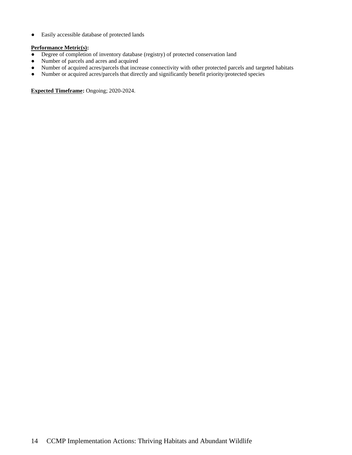● Easily accessible database of protected lands

## **Performance Metric(s):**

- Degree of completion of inventory database (registry) of protected conservation land
- Number of parcels and acres and acquired
- Number of acquired acres/parcels that increase connectivity with other protected parcels and targeted habitats
- Number or acquired acres/parcels that directly and significantly benefit priority/protected species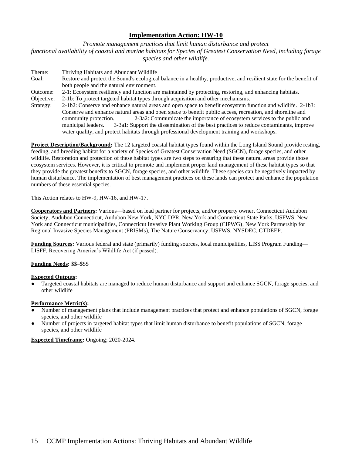*Promote management practices that limit human disturbance and protect functional availability of coastal and marine habitats for Species of Greatest Conservation Need, including forage species and other wildlife*.

Theme: Thriving Habitats and Abundant Wildlife Goal: Restore and protect the Sound's ecological balance in a healthy, productive, and resilient state for the benefit of both people and the natural environment. Outcome: 2-1: Ecosystem resiliency and function are maintained by protecting, restoring, and enhancing habitats. Objective: 2-1b: To protect targeted habitat types through acquisition and other mechanisms. Strategy: 2-1b2: Conserve and enhance natural areas and open space to benefit ecosystem function and wildlife. 2-1b3: Conserve and enhance natural areas and open space to benefit public access, recreation, and shoreline and community protection. 2-3a2: Communicate the importance of ecosystem services to the public and municipal leaders. 3-3a1: Support the dissemination of the best practices to reduce contaminants, improve water quality, and protect habitats through professional development training and workshops.

**Project Description/Background:** The 12 targeted coastal habitat types found within the Long Island Sound provide resting, feeding, and breeding habitat for a variety of Species of Greatest Conservation Need (SGCN), forage species, and other wildlife. Restoration and protection of these habitat types are two steps to ensuring that these natural areas provide those ecosystem services. However, it is critical to promote and implement proper land management of these habitat types so that they provide the greatest benefits to SGCN, forage species, and other wildlife. These species can be negatively impacted by human disturbance. The implementation of best management practices on these lands can protect and enhance the population numbers of these essential species.

This Action relates to HW-9, HW-16, and HW-17.

**Cooperators and Partners:** Various—based on lead partner for projects, and/or property owner, Connecticut Audubon Society, Audubon Connecticut, Audubon New York, NYC DPR, New York and Connecticut State Parks, USFWS, New York and Connecticut municipalities, Connecticut Invasive Plant Working Group (CIPWG), New York Partnership for Regional Invasive Species Management (PRISMs), The Nature Conservancy, USFWS, NYSDEC, CTDEEP.

**Funding Sources:** Various federal and state (primarily) funding sources, local municipalities, LISS Program Funding— LISFF, Recovering America's Wildlife Act (if passed).

# **Funding Needs:** \$\$–\$\$\$

#### **Expected Outputs:**

Targeted coastal habitats are managed to reduce human disturbance and support and enhance SGCN, forage species, and other wildlife

#### **Performance Metric(s):**

- Number of management plans that include management practices that protect and enhance populations of SGCN, forage species, and other wildlife
- Number of projects in targeted habitat types that limit human disturbance to benefit populations of SGCN, forage species, and other wildlife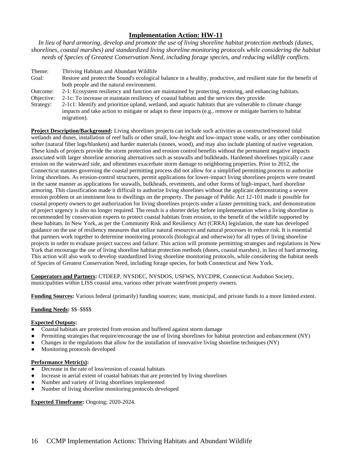*In lieu of hard armoring, develop and promote the use of living shoreline habitat protection methods (dunes, shorelines, coastal marshes) and standardized living shoreline monitoring protocols while considering the habitat needs of Species of Greatest Conservation Need, including forage species, and reducing wildlife conflicts.*

Theme: Thriving Habitats and Abundant Wildlife Goal: Restore and protect the Sound's ecological balance in a healthy, productive, and resilient state for the benefit of both people and the natural environment. Outcome: 2-1: Ecosystem resiliency and function are maintained by protecting, restoring, and enhancing habitats. Objective: 2-1c: To increase or maintain resiliency of coastal habitats and the services they provide. Strategy: 2-1c1: Identify and prioritize upland, wetland, and aquatic habitats that are vulnerable to climate change impacts and take action to mitigate or adapt to these impacts (e.g., remove or mitigate barriers to habitat

**Project Description/Background:** Living shorelines projects can include such activities as constructed/restored tidal wetlands and dunes, installation of reef balls or other small, low-height and low-impact stone walls, or any other combination softer (natural fiber logs/blankets) and harder materials (stones, wood), and may also include planting of native vegetation. These kinds of projects provide the storm protection and erosion control benefits without the permanent negative impacts associated with larger shoreline armoring alternatives such as seawalls and bulkheads. Hardened shorelines typically cause erosion on the waterward side, and oftentimes exacerbate storm damage to neighboring properties. Prior to 2012, the Connecticut statutes governing the coastal permitting process did not allow for a simplified permitting process to authorize living shorelines. As erosion-control structures, permit applications for lower-impact living shorelines projects were treated in the same manner as applications for seawalls, bulkheads, revetments, and other forms of high-impact, hard shoreline armoring. This classification made it difficult to authorize living shorelines without the applicant demonstrating a severe erosion problem or an imminent loss to dwellings on the property. The passage of Public Act 12-101 made it possible for coastal property owners to get authorization for living shorelines projects under a faster permitting track, and demonstration of project urgency is also no longer required. The result is a shorter delay before implementation when a living shoreline is recommended by conservation experts to protect coastal habitats from erosion, to the benefit of the wildlife supported by these habitats. In New York, as per the Community Risk and Resiliency Act (CRRA) legislation, the state has developed guidance on the use of resiliency measures that utilize natural resources and natural processes to reduce risk. It is essential that partners work together to determine monitoring protocols (biological and otherwise) for all types of living shoreline projects in order to evaluate project success and failure. This action will promote permitting strategies and regulations in New York that encourage the use of living shoreline habitat protection methods (dunes, coastal marshes), in lieu of hard armoring. This action will also work to develop standardized living shoreline monitoring protocols, while considering the habitat needs of Species of Greatest Conservation Need, including forage species, for both Connecticut and New York.

**Cooperators and Partners:** CTDEEP, NYSDEC, NYSDOS, USFWS, NYCDPR, Connecticut Audubon Society, municipalities within LISS coastal area, various other private waterfront property owners.

**Funding Sources:** Various federal (primarily) funding sources; state, municipal, and private funds to a more limited extent.

# **Funding Needs:** \$\$–\$\$\$\$

# **Expected Outputs:**

- Coastal habitats are protected from erosion and buffered against storm damage
- Permitting strategies that require/encourage the use of living shorelines for habitat protection and enhancement (NY)
- Changes in the regulations that allow for the installation of innovative living shoreline techniques (NY)
- Monitoring protocols developed

migration).

#### **Performance Metric(s):**

- Decrease in the rate of loss/erosion of coastal habitats
- Increase in aerial extent of coastal habitats that are protected by living shorelines
- Number and variety of living shorelines implemented
- Number of living shoreline monitoring protocols developed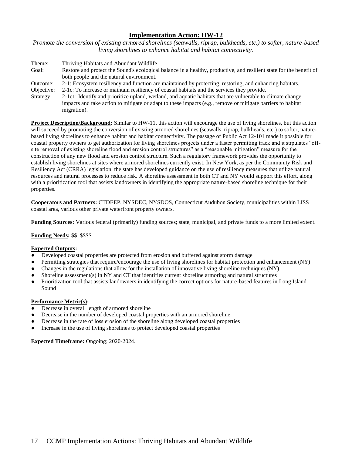*Promote the conversion of existing armored shorelines (seawalls, riprap, bulkheads, etc.) to softer, nature-based living shorelines to enhance habitat and habitat connectivity.* 

- Theme: Thriving Habitats and Abundant Wildlife Goal: Restore and protect the Sound's ecological balance in a healthy, productive, and resilient state for the benefit of both people and the natural environment.
- Outcome: 2-1: Ecosystem resiliency and function are maintained by protecting, restoring, and enhancing habitats.
- Objective: 2-1c: To increase or maintain resiliency of coastal habitats and the services they provide.
- Strategy: 2-1c1: Identify and prioritize upland, wetland, and aquatic habitats that are vulnerable to climate change impacts and take action to mitigate or adapt to these impacts (e.g., remove or mitigate barriers to habitat migration).

**Project Description/Background:** Similar to HW-11, this action will encourage the use of living shorelines, but this action will succeed by promoting the conversion of existing armored shorelines (seawalls, riprap, bulkheads, etc.) to softer, naturebased living shorelines to enhance habitat and habitat connectivity. The passage of Public Act 12-101 made it possible for coastal property owners to get authorization for living shorelines projects under a faster permitting track and it stipulates "offsite removal of existing shoreline flood and erosion control structures" as a "reasonable mitigation" measure for the construction of any new flood and erosion control structure. Such a regulatory framework provides the opportunity to establish living shorelines at sites where armored shorelines currently exist. In New York, as per the Community Risk and Resiliency Act (CRRA) legislation, the state has developed guidance on the use of resiliency measures that utilize natural resources and natural processes to reduce risk. A shoreline assessment in both CT and NY would support this effort, along with a prioritization tool that assists landowners in identifying the appropriate nature-based shoreline technique for their properties.

**Cooperators and Partners:** CTDEEP, NYSDEC, NYSDOS, Connecticut Audubon Society, municipalities within LISS coastal area, various other private waterfront property owners.

**Funding Sources:** Various federal (primarily) funding sources; state, municipal, and private funds to a more limited extent.

# **Funding Needs:** \$\$–\$\$\$\$

#### **Expected Outputs:**

- Developed coastal properties are protected from erosion and buffered against storm damage
- Permitting strategies that require/encourage the use of living shorelines for habitat protection and enhancement (NY)
- Changes in the regulations that allow for the installation of innovative living shoreline techniques (NY)
- Shoreline assessment(s) in NY and CT that identifies current shoreline armoring and natural structures
- Prioritization tool that assists landowners in identifying the correct options for nature-based features in Long Island Sound

# **Performance Metric(s):**

- Decrease in overall length of armored shoreline
- Decrease in the number of developed coastal properties with an armored shoreline
- Decrease in the rate of loss erosion of the shoreline along developed coastal properties
- Increase in the use of living shorelines to protect developed coastal properties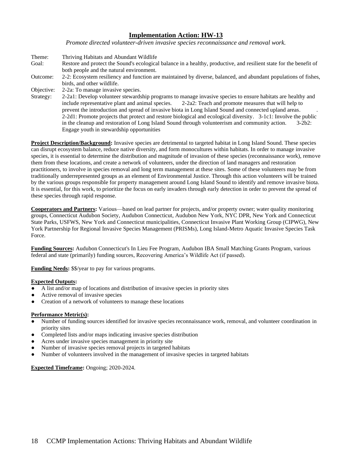*Promote directed volunteer-driven invasive species reconnaissance and removal work.*

Theme: Thriving Habitats and Abundant Wildlife Goal: Restore and protect the Sound's ecological balance in a healthy, productive, and resilient state for the benefit of both people and the natural environment. Outcome: 2-2: Ecosystem resiliency and function are maintained by diverse, balanced, and abundant populations of fishes, birds, and other wildlife. Objective: 2-2a: To manage invasive species. Strategy: 2-2a1: Develop volunteer stewardship programs to manage invasive species to ensure habitats are healthy and include representative plant and animal species. 2-2a2: Teach and promote measures that will help to prevent the introduction and spread of invasive biota in Long Island Sound and connected upland areas. . 2-2d1: Promote projects that protect and restore biological and ecological diversity. 3-1c1: Involve the public in the cleanup and restoration of Long Island Sound through volunteerism and community action. 3-2b2: Engage youth in stewardship opportunities

**Project Description/Background:** Invasive species are detrimental to targeted habitat in Long Island Sound. These species can disrupt ecosystem balance, reduce native diversity, and form monocultures within habitats. In order to manage invasive species, it is essential to determine the distribution and magnitude of invasion of these species (reconnaissance work), remove them from these locations, and create a network of volunteers, under the direction of land managers and restoration practitioners, to involve in species removal and long term management at these sites. Some of these volunteers may be from traditionally underrepresented groups as an element of Environmental Justice. Through this action volunteers will be trained by the various groups responsible for property management around Long Island Sound to identify and remove invasive biota. It is essential, for this work, to prioritize the focus on early invaders through early detection in order to prevent the spread of these species through rapid response.

**Cooperators and Partners:** Various—based on lead partner for projects, and/or property owner; water quality monitoring groups, Connecticut Audubon Society, Audubon Connecticut, Audubon New York, NYC DPR, New York and Connecticut State Parks, USFWS, New York and Connecticut municipalities, Connecticut Invasive Plant Working Group (CIPWG), New York Partnership for Regional Invasive Species Management (PRISMs), Long Island-Metro Aquatic Invasive Species Task Force.

**Funding Sources:** Audubon Connecticut's In Lieu Fee Program, Audubon IBA Small Matching Grants Program, various federal and state (primarily) funding sources, Recovering America's Wildlife Act (if passed).

**Funding Needs:** \$\$/year to pay for various programs.

#### **Expected Outputs:**

- A list and/or map of locations and distribution of invasive species in priority sites
- Active removal of invasive species
- Creation of a network of volunteers to manage these locations

#### **Performance Metric(s):**

- Number of funding sources identified for invasive species reconnaissance work, removal, and volunteer coordination in priority sites
- Completed lists and/or maps indicating invasive species distribution
- Acres under invasive species management in priority site
- Number of invasive species removal projects in targeted habitats
- Number of volunteers involved in the management of invasive species in targeted habitats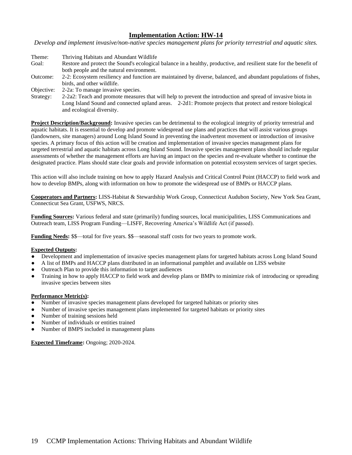*Develop and implement invasive/non-native species management plans for priority terrestrial and aquatic sites.*

- Theme: Thriving Habitats and Abundant Wildlife Goal: Restore and protect the Sound's ecological balance in a healthy, productive, and resilient state for the benefit of both people and the natural environment. Outcome: 2-2: Ecosystem resiliency and function are maintained by diverse, balanced, and abundant populations of fishes, birds, and other wildlife.
- Objective: 2-2a: To manage invasive species.
- Strategy: 2-2a2: Teach and promote measures that will help to prevent the introduction and spread of invasive biota in Long Island Sound and connected upland areas. 2-2d1: Promote projects that protect and restore biological and ecological diversity.

**Project Description/Background:** Invasive species can be detrimental to the ecological integrity of priority terrestrial and aquatic habitats. It is essential to develop and promote widespread use plans and practices that will assist various groups (landowners, site managers) around Long Island Sound in preventing the inadvertent movement or introduction of invasive species. A primary focus of this action will be creation and implementation of invasive species management plans for targeted terrestrial and aquatic habitats across Long Island Sound. Invasive species management plans should include regular assessments of whether the management efforts are having an impact on the species and re-evaluate whether to continue the designated practice. Plans should state clear goals and provide information on potential ecosystem services of target species.

This action will also include training on how to apply Hazard Analysis and Critical Control Point (HACCP) to field work and how to develop BMPs, along with information on how to promote the widespread use of BMPs or HACCP plans.

**Cooperators and Partners:** LISS-Habitat & Stewardship Work Group, Connecticut Audubon Society, New York Sea Grant, Connecticut Sea Grant, USFWS, NRCS.

**Funding Sources:** Various federal and state (primarily) funding sources, local municipalities, LISS Communications and Outreach team, LISS Program Funding—LISFF, Recovering America's Wildlife Act (if passed).

**Funding Needs:** \$\$—total for five years. \$\$—seasonal staff costs for two years to promote work.

# **Expected Outputs:**

- Development and implementation of invasive species management plans for targeted habitats across Long Island Sound
- A list of BMPs and HACCP plans distributed in an informational pamphlet and available on LISS website
- Outreach Plan to provide this information to target audiences
- Training in how to apply HACCP to field work and develop plans or BMPs to minimize risk of introducing or spreading invasive species between sites

#### **Performance Metric(s):**

- Number of invasive species management plans developed for targeted habitats or priority sites
- Number of invasive species management plans implemented for targeted habitats or priority sites
- Number of training sessions held
- Number of individuals or entities trained
- Number of BMPS included in management plans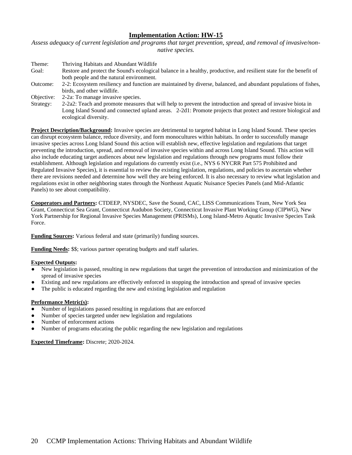*Assess adequacy of current legislation and programs that target prevention, spread, and removal of invasive/nonnative species.*

| Theme:     | Thriving Habitats and Abundant Wildlife                                                                             |
|------------|---------------------------------------------------------------------------------------------------------------------|
| Goal:      | Restore and protect the Sound's ecological balance in a healthy, productive, and resilient state for the benefit of |
|            | both people and the natural environment.                                                                            |
| Outcome:   | 2-2: Ecosystem resiliency and function are maintained by diverse, balanced, and abundant populations of fishes,     |
|            | birds, and other wildlife.                                                                                          |
| Objective: | 2-2a: To manage invasive species.                                                                                   |
| Strategy:  | 2-2a2: Teach and promote measures that will help to prevent the introduction and spread of invasive biota in        |
|            | Long Island Sound and connected upland areas. 2-2d1: Promote projects that protect and restore biological and       |

ecological diversity.

**Project Description/Background:** Invasive species are detrimental to targeted habitat in Long Island Sound. These species can disrupt ecosystem balance, reduce diversity, and form monocultures within habitats. In order to successfully manage invasive species across Long Island Sound this action will establish new, effective legislation and regulations that target preventing the introduction, spread, and removal of invasive species within and across Long Island Sound. This action will also include educating target audiences about new legislation and regulations through new programs must follow their establishment. Although legislation and regulations do currently exist (i.e., NYS 6 NYCRR Part 575 Prohibited and Regulated Invasive Species), it is essential to review the existing legislation, regulations, and policies to ascertain whether there are revisions needed and determine how well they are being enforced. It is also necessary to review what legislation and regulations exist in other neighboring states through the Northeast Aquatic Nuisance Species Panels (and Mid-Atlantic Panels) to see about compatibility.

**Cooperators and Partners:** CTDEEP, NYSDEC, Save the Sound, CAC, LISS Communications Team, New York Sea Grant, Connecticut Sea Grant, Connecticut Audubon Society, Connecticut Invasive Plant Working Group (CIPWG), New York Partnership for Regional Invasive Species Management (PRISMs), Long Island-Metro Aquatic Invasive Species Task Force.

**Funding Sources:** Various federal and state (primarily) funding sources.

**Funding Needs:** \$\$; various partner operating budgets and staff salaries.

#### **Expected Outputs:**

- New legislation is passed, resulting in new regulations that target the prevention of introduction and minimization of the spread of invasive species
- Existing and new regulations are effectively enforced in stopping the introduction and spread of invasive species
- The public is educated regarding the new and existing legislation and regulation

#### **Performance Metric(s):**

- Number of legislations passed resulting in regulations that are enforced
- Number of species targeted under new legislation and regulations
- Number of enforcement actions
- Number of programs educating the public regarding the new legislation and regulations

**Expected Timeframe:** Discrete; 2020-2024.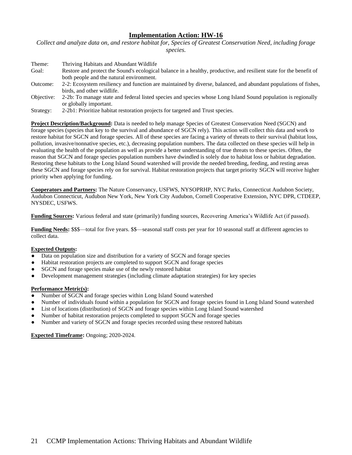*Collect and analyze data on, and restore habitat for, Species of Greatest Conservation Need, including forage species.*

| Theme:     | Thriving Habitats and Abundant Wildlife                                                                             |
|------------|---------------------------------------------------------------------------------------------------------------------|
| Goal:      | Restore and protect the Sound's ecological balance in a healthy, productive, and resilient state for the benefit of |
|            | both people and the natural environment.                                                                            |
| Outcome:   | 2-2: Ecosystem resiliency and function are maintained by diverse, balanced, and abundant populations of fishes,     |
|            | birds, and other wildlife.                                                                                          |
| Objective: | 2-2b: To manage state and federal listed species and species whose Long Island Sound population is regionally       |
|            | or globally important.                                                                                              |

Strategy: 2-2b1: Prioritize habitat restoration projects for targeted and Trust species.

**Project Description/Background:** Data is needed to help manage Species of Greatest Conservation Need (SGCN) and forage species (species that key to the survival and abundance of SGCN rely). This action will collect this data and work to restore habitat for SGCN and forage species. All of these species are facing a variety of threats to their survival (habitat loss, pollution, invasive/nonnative species, etc.), decreasing population numbers. The data collected on these species will help in evaluating the health of the population as well as provide a better understanding of true threats to these species. Often, the reason that SGCN and forage species population numbers have dwindled is solely due to habitat loss or habitat degradation. Restoring these habitats to the Long Island Sound watershed will provide the needed breeding, feeding, and resting areas these SGCN and forage species rely on for survival. Habitat restoration projects that target priority SGCN will receive higher priority when applying for funding.

**Cooperators and Partners:** The Nature Conservancy, USFWS, NYSOPRHP, NYC Parks, Connecticut Audubon Society, Audubon Connecticut, Audubon New York, New York City Audubon, Cornell Cooperative Extension, NYC DPR, CTDEEP, NYSDEC, USFWS.

**Funding Sources:** Various federal and state (primarily) funding sources, Recovering America's Wildlife Act (if passed).

**Funding Needs:** \$\$\$—total for five years. \$\$—seasonal staff costs per year for 10 seasonal staff at different agencies to collect data.

# **Expected Outputs:**

- Data on population size and distribution for a variety of SGCN and forage species
- Habitat restoration projects are completed to support SGCN and forage species
- SGCN and forage species make use of the newly restored habitat
- Development management strategies (including climate adaptation strategies) for key species

# **Performance Metric(s):**

- Number of SGCN and forage species within Long Island Sound watershed
- Number of individuals found within a population for SGCN and forage species found in Long Island Sound watershed
- List of locations (distribution) of SGCN and forage species within Long Island Sound watershed
- Number of habitat restoration projects completed to support SGCN and forage species
- Number and variety of SGCN and forage species recorded using these restored habitats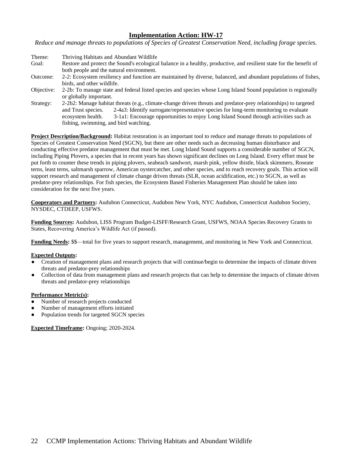*Reduce and manage threats to populations of Species of Greatest Conservation Need, including forage species.*

- Theme: Thriving Habitats and Abundant Wildlife Goal: Restore and protect the Sound's ecological balance in a healthy, productive, and resilient state for the benefit of both people and the natural environment. Outcome: 2-2: Ecosystem resiliency and function are maintained by diverse, balanced, and abundant populations of fishes,
- birds, and other wildlife.
- Objective: 2-2b: To manage state and federal listed species and species whose Long Island Sound population is regionally or globally important.
- Strategy: 2-2b2: Manage habitat threats (e.g., climate-change driven threats and predator-prey relationships) to targeted and Trust species. 2-4a3: Identify surrogate/representative species for long-term monitoring to evaluate ecosystem health. 3-1a1: Encourage opportunities to enjoy Long Island Sound through activities such as fishing, swimming, and bird watching.

**Project Description/Background:** Habitat restoration is an important tool to reduce and manage threats to populations of Species of Greatest Conservation Need (SGCN), but there are other needs such as decreasing human disturbance and conducting effective predator management that must be met. Long Island Sound supports a considerable number of SGCN, including Piping Plovers, a species that in recent years has shown significant declines on Long Island. Every effort must be put forth to counter these trends in piping plovers, seabeach sandwort, marsh pink, yellow thistle, black skimmers, Roseate terns, least terns, saltmarsh sparrow, American oystercatcher, and other species, and to reach recovery goals. This action will support research and management of climate change driven threats (SLR, ocean acidification, etc.) to SGCN, as well as predator-prey relationships. For fish species, the Ecosystem Based Fisheries Management Plan should be taken into consideration for the next five years.

**Cooperators and Partners:** Audubon Connecticut, Audubon New York, NYC Audubon, Connecticut Audubon Society, NYSDEC, CTDEEP, USFWS.

**Funding Sources:** Audubon, LISS Program Budget-LISFF/Research Grant, USFWS, NOAA Species Recovery Grants to States, Recovering America's Wildlife Act (if passed).

**Funding Needs:** \$\$—total for five years to support research, management, and monitoring in New York and Connecticut.

# **Expected Outputs:**

- Creation of management plans and research projects that will continue/begin to determine the impacts of climate driven threats and predator-prey relationships
- Collection of data from management plans and research projects that can help to determine the impacts of climate driven threats and predator-prey relationships

#### **Performance Metric(s):**

- Number of research projects conducted
- Number of management efforts initiated
- Population trends for targeted SGCN species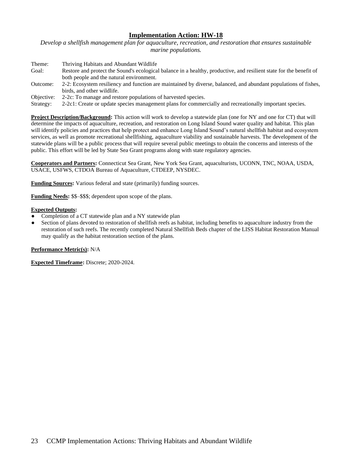*Develop a shellfish management plan for aquaculture, recreation, and restoration that ensures sustainable marine populations.*

| Theme:     | Thriving Habitats and Abundant Wildlife                                                                             |
|------------|---------------------------------------------------------------------------------------------------------------------|
| Goal:      | Restore and protect the Sound's ecological balance in a healthy, productive, and resilient state for the benefit of |
|            | both people and the natural environment.                                                                            |
| Outcome:   | 2-2: Ecosystem resiliency and function are maintained by diverse, balanced, and abundant populations of fishes,     |
|            | birds, and other wildlife.                                                                                          |
| Objective: | 2-2c: To manage and restore populations of harvested species.                                                       |
| Strategy:  | 2-2c1: Create or update species management plans for commercially and recreationally important species.             |

**Project Description/Background:** This action will work to develop a statewide plan (one for NY and one for CT) that will determine the impacts of aquaculture, recreation, and restoration on Long Island Sound water quality and habitat. This plan will identify policies and practices that help protect and enhance Long Island Sound's natural shellfish habitat and ecosystem services, as well as promote recreational shellfishing, aquaculture viability and sustainable harvests. The development of the statewide plans will be a public process that will require several public meetings to obtain the concerns and interests of the public. This effort will be led by State Sea Grant programs along with state regulatory agencies.

**Cooperators and Partners:** Connecticut Sea Grant, New York Sea Grant, aquaculturists, UCONN, TNC, NOAA, USDA, USACE, USFWS, CTDOA Bureau of Aquaculture, CTDEEP, NYSDEC.

**Funding Sources:** Various federal and state (primarily) funding sources.

**Funding Needs:** \$\$–\$\$\$; dependent upon scope of the plans.

## **Expected Outputs:**

- Completion of a CT statewide plan and a NY statewide plan
- Section of plans devoted to restoration of shellfish reefs as habitat, including benefits to aquaculture industry from the restoration of such reefs. The recently completed Natural Shellfish Beds chapter of the LISS Habitat Restoration Manual may qualify as the habitat restoration section of the plans.

# **Performance Metric(s):** N/A

**Expected Timeframe:** Discrete; 2020-2024.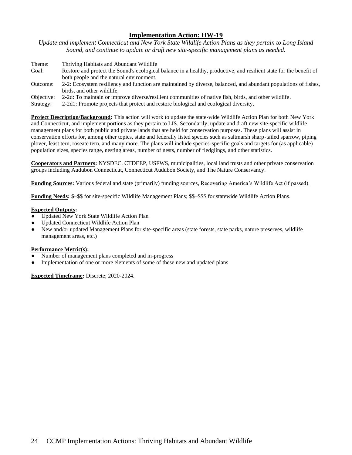*Update and implement Connecticut and New York State Wildlife Action Plans as they pertain to Long Island Sound, and continue to update or draft new site-specific management plans as needed.*

| Theme:     | Thriving Habitats and Abundant Wildlife                                                                             |
|------------|---------------------------------------------------------------------------------------------------------------------|
| Goal:      | Restore and protect the Sound's ecological balance in a healthy, productive, and resilient state for the benefit of |
|            | both people and the natural environment.                                                                            |
| Outcome:   | 2-2: Ecosystem resiliency and function are maintained by diverse, balanced, and abundant populations of fishes,     |
|            | birds, and other wildlife.                                                                                          |
| Objective: | 2-2d: To maintain or improve diverse/resilient communities of native fish, birds, and other wildlife.               |
| Strategy:  | 2-2d1: Promote projects that protect and restore biological and ecological diversity.                               |

**Project Description/Background:** This action will work to update the state-wide Wildlife Action Plan for both New York and Connecticut, and implement portions as they pertain to LIS. Secondarily, update and draft new site-specific wildlife management plans for both public and private lands that are held for conservation purposes. These plans will assist in conservation efforts for, among other topics, state and federally listed species such as saltmarsh sharp-tailed sparrow, piping plover, least tern, roseate tern, and many more. The plans will include species-specific goals and targets for (as applicable) population sizes, species range, nesting areas, number of nests, number of fledglings, and other statistics.

**Cooperators and Partners:** NYSDEC, CTDEEP, USFWS, municipalities, local land trusts and other private conservation groups including Audubon Connecticut, Connecticut Audubon Society, and The Nature Conservancy.

**Funding Sources:** Various federal and state (primarily) funding sources, Recovering America's Wildlife Act (if passed).

**Funding Needs:** \$–\$\$ for site-specific Wildlife Management Plans; \$\$–\$\$\$ for statewide Wildlife Action Plans.

## **Expected Outputs:**

- Updated New York State Wildlife Action Plan
- Updated Connecticut Wildlife Action Plan
- New and/or updated Management Plans for site-specific areas (state forests, state parks, nature preserves, wildlife management areas, etc.)

#### **Performance Metric(s):**

- Number of management plans completed and in-progress
- Implementation of one or more elements of some of these new and updated plans

**Expected Timeframe:** Discrete; 2020-2024.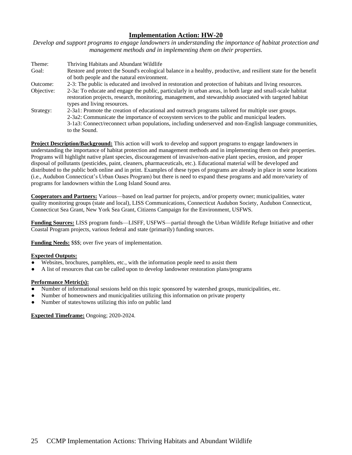*Develop and support programs to engage landowners in understanding the importance of habitat protection and management methods and in implementing them on their properties.*

| Theme:     | Thriving Habitats and Abundant Wildlife                                                                                                                                                                                                                                                                                         |
|------------|---------------------------------------------------------------------------------------------------------------------------------------------------------------------------------------------------------------------------------------------------------------------------------------------------------------------------------|
| Goal:      | Restore and protect the Sound's ecological balance in a healthy, productive, and resilient state for the benefit<br>of both people and the natural environment.                                                                                                                                                                 |
| Outcome:   | 2-3: The public is educated and involved in restoration and protection of habitats and living resources.                                                                                                                                                                                                                        |
| Objective: | 2-3a: To educate and engage the public, particularly in urban areas, in both large and small-scale habitat<br>restoration projects, research, monitoring, management, and stewardship associated with targeted habitat<br>types and living resources.                                                                           |
| Strategy:  | 2-3a1: Promote the creation of educational and outreach programs tailored for multiple user groups.<br>2-3a2: Communicate the importance of ecosystem services to the public and municipal leaders.<br>3-1a3: Connect/reconnect urban populations, including underserved and non-English language communities,<br>to the Sound. |

**Project Description/Background:** This action will work to develop and support programs to engage landowners in understanding the importance of habitat protection and management methods and in implementing them on their properties. Programs will highlight native plant species, discouragement of invasive/non-native plant species, erosion, and proper disposal of pollutants (pesticides, paint, cleaners, pharmaceuticals, etc.). Educational material will be developed and distributed to the public both online and in print. Examples of these types of programs are already in place in some locations (i.e., Audubon Connecticut's Urban Oases Program) but there is need to expand these programs and add more/variety of programs for landowners within the Long Island Sound area.

**Cooperators and Partners:** Various—based on lead partner for projects, and/or property owner; municipalities, water quality monitoring groups (state and local), LISS Communications, Connecticut Audubon Society, Audubon Connecticut, Connecticut Sea Grant, New York Sea Grant, Citizens Campaign for the Environment, USFWS.

**Funding Sources:** LISS program funds—LISFF, USFWS—partial through the Urban Wildlife Refuge Initiative and other Coastal Program projects, various federal and state (primarily) funding sources.

**Funding Needs:** \$\$\$; over five years of implementation.

# **Expected Outputs:**

- Websites, brochures, pamphlets, etc., with the information people need to assist them
- A list of resources that can be called upon to develop landowner restoration plans/programs

#### **Performance Metric(s):**

- Number of informational sessions held on this topic sponsored by watershed groups, municipalities, etc.
- Number of homeowners and municipalities utilizing this information on private property
- Number of states/towns utilizing this info on public land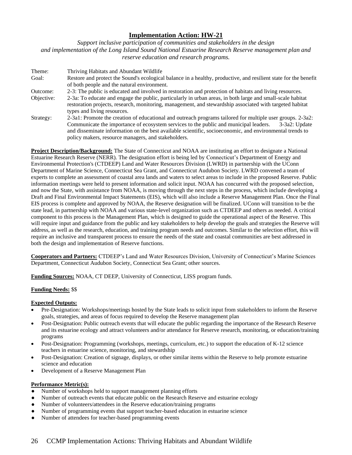*Support inclusive participation of communities and stakeholders in the design and implementation of the Long Island Sound National Estuarine Research Reserve management plan and reserve education and research programs.*

Theme: Thriving Habitats and Abundant Wildlife Goal: Restore and protect the Sound's ecological balance in a healthy, productive, and resilient state for the benefit of both people and the natural environment. Outcome: 2-3: The public is educated and involved in restoration and protection of habitats and living resources. Objective: 2-3a: To educate and engage the public, particularly in urban areas, in both large and small-scale habitat restoration projects, research, monitoring, management, and stewardship associated with targeted habitat types and living resources. Strategy: 2-3a1: Promote the creation of educational and outreach programs tailored for multiple user groups. 2-3a2: Communicate the importance of ecosystem services to the public and municipal leaders. 3-3a2: Update and disseminate information on the best available scientific, socioeconomic, and environmental trends to policy makers, resource managers, and stakeholders.

**Project Description/Background:** The State of Connecticut and NOAA are instituting an effort to designate a National Estuarine Research Reserve (NERR). The designation effort is being led by Connecticut's Department of Energy and Environmental Protection's (CTDEEP) Land and Water Resources Division (LWRD) in partnership with the UConn Department of Marine Science, Connecticut Sea Grant, and Connecticut Audubon Society. LWRD convened a team of experts to complete an assessment of coastal area lands and waters to select areas to include in the proposed Reserve. Public information meetings were held to present information and solicit input. NOAA has concurred with the proposed selection, and now the State, with assistance from NOAA, is moving through the next steps in the process, which include developing a Draft and Final Environmental Impact Statements (EIS), which will also include a Reserve Management Plan. Once the Final EIS process is complete and approved by NOAA, the Reserve designation will be finalized. UConn will transition to be the state lead, in partnership with NOAA and various state-level organization such as CTDEEP and others as needed. A critical component to this process is the Management Plan, which is designed to guide the operational aspect of the Reserve. This will require input and guidance from the public and key stakeholders to help develop the goals and strategies the Reserve will address, as well as the research, education, and training program needs and outcomes. Similar to the selection effort, this will require an inclusive and transparent process to ensure the needs of the state and coastal communities are best addressed in both the design and implementation of Reserve functions.

**Cooperators and Partners:** CTDEEP's Land and Water Resources Division, University of Connecticut's Marine Sciences Department, Connecticut Audubon Society, Connecticut Sea Grant; other sources.

**Funding Sources:** NOAA, CT DEEP, University of Connecticut, LISS program funds.

# **Funding Needs:** \$\$

## **Expected Outputs:**

- Pre-Designation: Workshops/meetings hosted by the State leads to solicit input from stakeholders to inform the Reserve goals, strategies, and areas of focus required to develop the Reserve management plan
- Post-Designation: Public outreach events that will educate the public regarding the importance of the Research Reserve and its estuarine ecology and attract volunteers and/or attendance for Reserve research, monitoring, or education/training programs
- Post-Designation: Programming (workshops, meetings, curriculum, etc.) to support the education of K-12 science teachers in estuarine science, monitoring, and stewardship
- Post-Designation: Creation of signage, displays, or other similar items within the Reserve to help promote estuarine science and education
- Development of a Reserve Management Plan

#### **Performance Metric(s):**

- Number of workshops held to support management planning efforts
- Number of outreach events that educate public on the Research Reserve and estuarine ecology
- Number of volunteers/attendees in the Reserve education/training programs
- Number of programming events that support teacher-based education in estuarine science
- Number of attendees for teacher-based programming events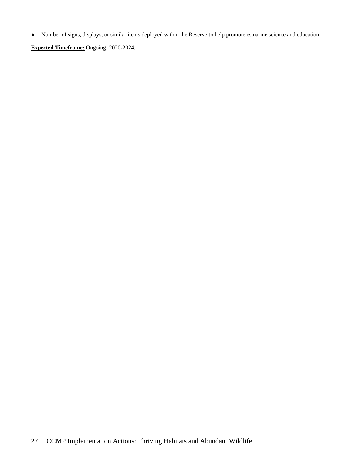● Number of signs, displays, or similar items deployed within the Reserve to help promote estuarine science and education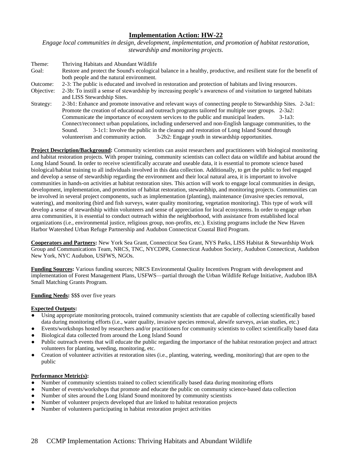*Engage local communities in design, development, implementation, and promotion of habitat restoration, stewardship and monitoring projects.* 

Theme: Thriving Habitats and Abundant Wildlife Goal: Restore and protect the Sound's ecological balance in a healthy, productive, and resilient state for the benefit of both people and the natural environment. Outcome: 2-3: The public is educated and involved in restoration and protection of habitats and living resources. Objective: 2-3b: To instill a sense of stewardship by increasing people's awareness of and visitation to targeted habitats and LISS Stewardship Sites. Strategy: 2-3b1: Enhance and promote innovative and relevant ways of connecting people to Stewardship Sites. 2-3a1: Promote the creation of educational and outreach programs tailored for multiple user groups. 2-3a2: Communicate the importance of ecosystem services to the public and municipal leaders. 3-1a3: Connect/reconnect urban populations, including underserved and non-English language communities, to the Sound. 3-1c1: Involve the public in the cleanup and restoration of Long Island Sound through volunteerism and community action. 3-2b2: Engage youth in stewardship opportunities.

**Project Description/Background:** Community scientists can assist researchers and practitioners with biological monitoring and habitat restoration projects. With proper training, community scientists can collect data on wildlife and habitat around the Long Island Sound. In order to receive scientifically accurate and useable data, it is essential to promote science based biological/habitat training to all individuals involved in this data collection. Additionally, to get the public to feel engaged and develop a sense of stewardship regarding the environment and their local natural area, it is important to involve communities in hands-on activities at habitat restoration sites. This action will work to engage local communities in design, development, implementation, and promotion of habitat restoration, stewardship, and monitoring projects. Communities can be involved in several project components, such as implementation (planting), maintenance (invasive species removal, watering), and monitoring (bird and fish surveys, water quality monitoring, vegetation monitoring). This type of work will develop a sense of stewardship within volunteers and sense of appreciation for local ecosystems. In order to engage urban area communities, it is essential to conduct outreach within the neighborhood, with assistance from established local organizations (i.e., environmental justice, religious group, non-profits, etc.). Existing programs include the New Haven Harbor Watershed Urban Refuge Partnership and Audubon Connecticut Coastal Bird Program.

**Cooperators and Partners:** New York Sea Grant, Connecticut Sea Grant, NYS Parks, LISS Habitat & Stewardship Work Group and Communications Team, NRCS, TNC, NYCDPR, Connecticut Audubon Society, Audubon Connecticut, Audubon New York, NYC Audubon, USFWS, NGOs.

**Funding Sources:** Various funding sources; NRCS Environmental Quality Incentives Program with development and implementation of Forest Management Plans, USFWS—partial through the Urban Wildlife Refuge Initiative, Audubon IBA Small Matching Grants Program.

# **Funding Needs:** \$\$\$ over five years

#### **Expected Outputs:**

- Using appropriate monitoring protocols, trained community scientists that are capable of collecting scientifically based data during monitoring efforts (i.e., water quality, invasive species removal, alewife surveys, avian studies, etc.)
- Events/workshops hosted by researchers and/or practitioners for community scientists to collect scientifically based data
- Biological data collected from around the Long Island Sound
- Public outreach events that will educate the public regarding the importance of the habitat restoration project and attract volunteers for planting, weeding, monitoring, etc.
- Creation of volunteer activities at restoration sites (i.e., planting, watering, weeding, monitoring) that are open to the public

#### **Performance Metric(s):**

- Number of community scientists trained to collect scientifically based data during monitoring efforts
- Number of events/workshops that promote and educate the public on community science-based data collection
- Number of sites around the Long Island Sound monitored by community scientists
- Number of volunteer projects developed that are linked to habitat restoration projects
- Number of volunteers participating in habitat restoration project activities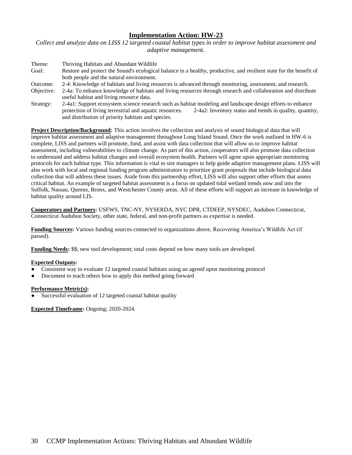*Collect and analyze data on LISS 12 targeted coastal habitat types in order to improve habitat assessment and adaptive management.*

| Theme:     | Thriving Habitats and Abundant Wildlife                                                                             |
|------------|---------------------------------------------------------------------------------------------------------------------|
| Goal:      | Restore and protect the Sound's ecological balance in a healthy, productive, and resilient state for the benefit of |
|            | both people and the natural environment.                                                                            |
| Outcome:   | 2-4: Knowledge of habitats and living resources is advanced through monitoring, assessment, and research.           |
| Objective: | 2-4a: To enhance knowledge of habitats and living resources through research and collaboration and distribute       |
|            | useful habitat and living resource data.                                                                            |
| Strategy:  | 2-4a1: Support ecosystem science research such as habitat modeling and landscape design efforts to enhance          |
|            | protection of living terrestrial and aquatic resources.<br>2-4a2: Inventory status and trends in quality, quantity, |
|            | and distribution of priority habitats and species.                                                                  |

**Project Description/Background:** This action involves the collection and analysis of sound biological data that will improve habitat assessment and adaptive management throughout Long Island Sound. Once the work outlined in HW-6 is complete, LISS and partners will promote, fund, and assist with data collection that will allow us to improve habitat assessment, including vulnerabilities to climate change. As part of this action, cooperators will also promote data collection to understand and address habitat changes and overall ecosystem health. Partners will agree upon appropriate monitoring protocols for each habitat type. This information is vital to site managers to help guide adaptive management plans. LISS will also work with local and regional funding program administrators to prioritize grant proposals that include biological data collection that will address these issues. Aside from this partnership effort, LISS will also support other efforts that assess critical habitat. An example of targeted habitat assessment is a focus on updated tidal wetland trends now and into the Suffolk, Nassau, Queens, Bronx, and Westchester County areas. All of these efforts will support an increase in knowledge of habitat quality around LIS.

**Cooperators and Partners:** USFWS, TNC-NY, NYSERDA, NYC DPR, CTDEEP, NYSDEC, Audubon Connecticut, Connecticut Audubon Society, other state, federal, and non-profit partners as expertise is needed.

**Funding Sources:** Various funding sources connected to organizations above, Recovering America's Wildlife Act (if passed).

**Funding Needs:** \$\$; new tool development; total costs depend on how many tools are developed.

#### **Expected Outputs:**

- Consistent way to evaluate 12 targeted coastal habitats using an agreed upon monitoring protocol
- Document to teach others how to apply this method going forward

#### **Performance Metric(s):**

Successful evaluation of 12 targeted coastal habitat quality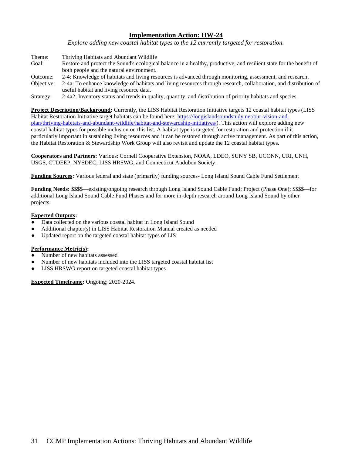*Explore adding new coastal habitat types to the 12 currently targeted for restoration.*

Theme: Thriving Habitats and Abundant Wildlife Goal: Restore and protect the Sound's ecological balance in a healthy, productive, and resilient state for the benefit of both people and the natural environment. Outcome: 2-4: Knowledge of habitats and living resources is advanced through monitoring, assessment, and research. Objective: 2-4a: To enhance knowledge of habitats and living resources through research, collaboration, and distribution of useful habitat and living resource data.

Strategy: 2-4a2: Inventory status and trends in quality, quantity, and distribution of priority habitats and species.

**Project Description/Background:** Currently, the LISS Habitat Restoration Initiative targets 12 coastal habitat types (LISS Habitat Restoration Initiative target habitats can be found here: https://longislandsoundstudy.net/our-vision-andplan/thriving-habitats-and-abundant-wildlife/habitat-and-stewardship-initiatives/). This action will explore adding new coastal habitat types for possible inclusion on this list. A habitat type is targeted for restoration and protection if it particularly important in sustaining living resources and it can be restored through active management. As part of this action, the Habitat Restoration & Stewardship Work Group will also revisit and update the 12 coastal habitat types.

**Cooperators and Partners:** Various: Cornell Cooperative Extension, NOAA, LDEO, SUNY SB, UCONN, URI, UNH, USGS, CTDEEP, NYSDEC; LISS HRSWG, and Connecticut Audubon Society.

**Funding Sources:** Various federal and state (primarily) funding sources- Long Island Sound Cable Fund Settlement

**Funding Needs:** \$\$\$\$—existing/ongoing research through Long Island Sound Cable Fund; Project (Phase One); \$\$\$\$—for additional Long Island Sound Cable Fund Phases and for more in-depth research around Long Island Sound by other projects.

## **Expected Outputs:**

- Data collected on the various coastal habitat in Long Island Sound
- Additional chapter(s) in LISS Habitat Restoration Manual created as needed
- Updated report on the targeted coastal habitat types of LIS

## **Performance Metric(s):**

- Number of new habitats assessed
- Number of new habitats included into the LISS targeted coastal habitat list
- LISS HRSWG report on targeted coastal habitat types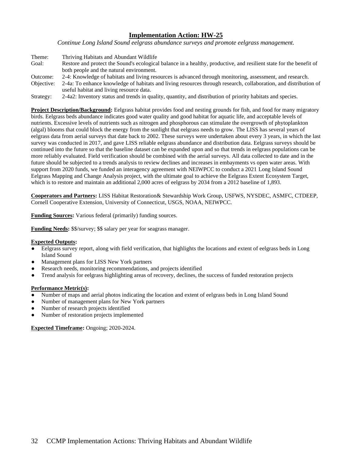*Continue Long Island Sound eelgrass abundance surveys and promote eelgrass management.*

| Theme:        | Thriving Habitats and Abundant Wildlife                                                                             |
|---------------|---------------------------------------------------------------------------------------------------------------------|
| Goal:         | Restore and protect the Sound's ecological balance in a healthy, productive, and resilient state for the benefit of |
|               | both people and the natural environment.                                                                            |
| Outcome:      | 2-4: Knowledge of habitats and living resources is advanced through monitoring, assessment, and research.           |
| Objective:    | 2-4a: To enhance knowledge of habitats and living resources through research, collaboration, and distribution of    |
|               | useful habitat and living resource data.                                                                            |
| $\sim$ $\sim$ |                                                                                                                     |

Strategy: 2-4a2: Inventory status and trends in quality, quantity, and distribution of priority habitats and species.

**Project Description/Background:** Eelgrass habitat provides food and nesting grounds for fish, and food for many migratory birds. Eelgrass beds abundance indicates good water quality and good habitat for aquatic life, and acceptable levels of nutrients. Excessive levels of nutrients such as nitrogen and phosphorous can stimulate the overgrowth of phytoplankton (algal) blooms that could block the energy from the sunlight that eelgrass needs to grow. The LISS has several years of eelgrass data from aerial surveys that date back to 2002. These surveys were undertaken about every 3 years, in which the last survey was conducted in 2017, and gave LISS reliable eelgrass abundance and distribution data. Eelgrass surveys should be continued into the future so that the baseline dataset can be expanded upon and so that trends in eelgrass populations can be more reliably evaluated. Field verification should be combined with the aerial surveys. All data collected to date and in the future should be subjected to a trends analysis to review declines and increases in embayments vs open water areas. With support from 2020 funds, we funded an interagency agreement with NEIWPCC to conduct a 2021 Long Island Sound Eelgrass Mapping and Change Analysis project, with the ultimate goal to achieve the Eelgrass Extent Ecosystem Target, which is to restore and maintain an additional 2,000 acres of eelgrass by 2034 from a 2012 baseline of 1,893.

**Cooperators and Partners:** LISS Habitat Restoration& Stewardship Work Group, USFWS, NYSDEC, ASMFC, CTDEEP, Cornell Cooperative Extension, University of Connecticut, USGS, NOAA, NEIWPCC.

**Funding Sources:** Various federal (primarily) funding sources.

**Funding Needs:** \$\$/survey; \$\$ salary per year for seagrass manager.

#### **Expected Outputs:**

- Eelgrass survey report, along with field verification, that highlights the locations and extent of eelgrass beds in Long Island Sound
- Management plans for LISS New York partners
- Research needs, monitoring recommendations, and projects identified
- Trend analysis for eelgrass highlighting areas of recovery, declines, the success of funded restoration projects

#### **Performance Metric(s):**

- Number of maps and aerial photos indicating the location and extent of eelgrass beds in Long Island Sound
- Number of management plans for New York partners
- Number of research projects identified
- Number of restoration projects implemented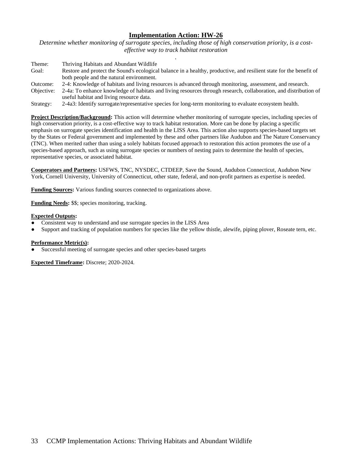*Determine whether monitoring of surrogate species, including those of high conservation priority, is a costeffective way to track habitat restoration .*

| Theme:     | Thriving Habitats and Abundant Wildlife                                                                             |
|------------|---------------------------------------------------------------------------------------------------------------------|
| Goal:      | Restore and protect the Sound's ecological balance in a healthy, productive, and resilient state for the benefit of |
|            | both people and the natural environment.                                                                            |
| Outcome:   | 2-4: Knowledge of habitats and living resources is advanced through monitoring, assessment, and research.           |
| Objective: | 2-4a: To enhance knowledge of habitats and living resources through research, collaboration, and distribution of    |
|            | useful habitat and living resource data.                                                                            |
|            |                                                                                                                     |

Strategy: 2-4a3: Identify surrogate/representative species for long-term monitoring to evaluate ecosystem health.

**Project Description/Background:** This action will determine whether monitoring of surrogate species, including species of high conservation priority, is a cost-effective way to track habitat restoration. More can be done by placing a specific emphasis on surrogate species identification and health in the LISS Area. This action also supports species-based targets set by the States or Federal government and implemented by these and other partners like Audubon and The Nature Conservancy (TNC). When merited rather than using a solely habitats focused approach to restoration this action promotes the use of a species-based approach, such as using surrogate species or numbers of nesting pairs to determine the health of species, representative species, or associated habitat.

**Cooperators and Partners:** USFWS, TNC, NYSDEC, CTDEEP, Save the Sound, Audubon Connecticut, Audubon New York, Cornell University, University of Connecticut, other state, federal, and non-profit partners as expertise is needed.

**Funding Sources:** Various funding sources connected to organizations above.

**Funding Needs:** \$\$; species monitoring, tracking.

## **Expected Outputs:**

- Consistent way to understand and use surrogate species in the LISS Area
- Support and tracking of population numbers for species like the yellow thistle, alewife, piping plover, Roseate tern, etc.

#### **Performance Metric(s):**

Successful meeting of surrogate species and other species-based targets

**Expected Timeframe:** Discrete; 2020-2024.